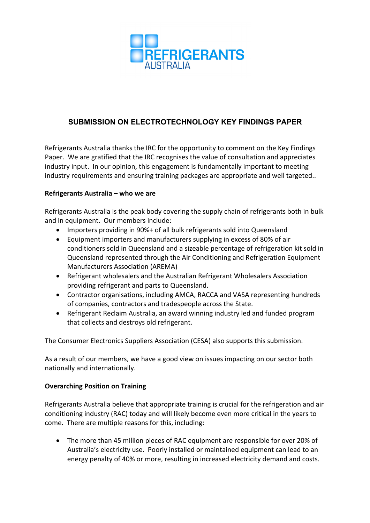

## **SUBMISSION ON ELECTROTECHNOLOGY KEY FINDINGS PAPER**

Refrigerants Australia thanks the IRC for the opportunity to comment on the Key Findings Paper. We are gratified that the IRC recognises the value of consultation and appreciates industry input. In our opinion, this engagement is fundamentally important to meeting industry requirements and ensuring training packages are appropriate and well targeted..

## **Refrigerants Australia – who we are**

Refrigerants Australia is the peak body covering the supply chain of refrigerants both in bulk and in equipment. Our members include:

- Importers providing in 90%+ of all bulk refrigerants sold into Queensland
- Equipment importers and manufacturers supplying in excess of 80% of air conditioners sold in Queensland and a sizeable percentage of refrigeration kit sold in Queensland represented through the Air Conditioning and Refrigeration Equipment Manufacturers Association (AREMA)
- Refrigerant wholesalers and the Australian Refrigerant Wholesalers Association providing refrigerant and parts to Queensland.
- Contractor organisations, including AMCA, RACCA and VASA representing hundreds of companies, contractors and tradespeople across the State.
- Refrigerant Reclaim Australia, an award winning industry led and funded program that collects and destroys old refrigerant.

The Consumer Electronics Suppliers Association (CESA) also supports this submission.

As a result of our members, we have a good view on issues impacting on our sector both nationally and internationally.

## **Overarching Position on Training**

Refrigerants Australia believe that appropriate training is crucial for the refrigeration and air conditioning industry (RAC) today and will likely become even more critical in the years to come. There are multiple reasons for this, including:

• The more than 45 million pieces of RAC equipment are responsible for over 20% of Australia's electricity use. Poorly installed or maintained equipment can lead to an energy penalty of 40% or more, resulting in increased electricity demand and costs.